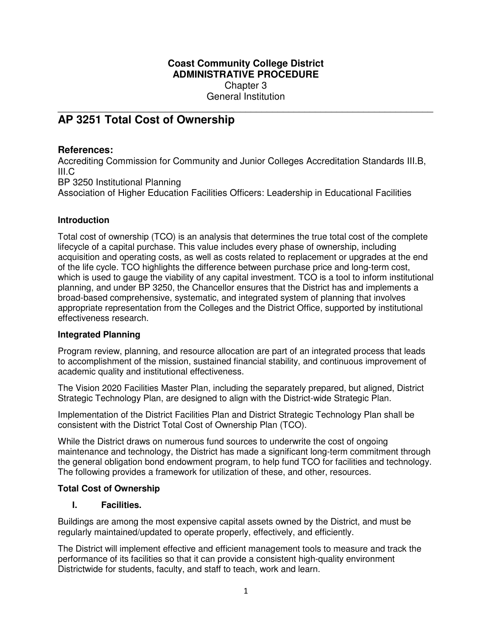# **Coast Community College District ADMINISTRATIVE PROCEDURE**  Chapter 3

General Institution

## \_\_\_\_\_\_\_\_\_\_\_\_\_\_\_\_\_\_\_\_\_\_\_\_\_\_\_\_\_\_\_\_\_\_\_\_\_\_\_\_\_\_\_\_\_\_\_\_\_\_\_\_\_\_\_\_\_\_\_\_\_\_\_\_\_\_\_\_\_\_ **AP 3251 Total Cost of Ownership**

# **References:**

Accrediting Commission for Community and Junior Colleges Accreditation Standards III.B, III.C BP 3250 Institutional Planning

Association of Higher Education Facilities Officers: Leadership in Educational Facilities

# **Introduction**

Total cost of ownership (TCO) is an analysis that determines the true total cost of the complete lifecycle of a capital purchase. This value includes every phase of ownership, including acquisition and operating costs, as well as costs related to replacement or upgrades at the end of the life cycle. TCO highlights the difference between purchase price and long-term cost, which is used to gauge the viability of any capital investment. TCO is a tool to inform institutional planning, and under BP 3250, the Chancellor ensures that the District has and implements a broad-based comprehensive, systematic, and integrated system of planning that involves appropriate representation from the Colleges and the District Office, supported by institutional effectiveness research.

### **Integrated Planning**

Program review, planning, and resource allocation are part of an integrated process that leads to accomplishment of the mission, sustained financial stability, and continuous improvement of academic quality and institutional effectiveness.

The Vision 2020 Facilities Master Plan, including the separately prepared, but aligned, District Strategic Technology Plan, are designed to align with the District-wide Strategic Plan.

Implementation of the District Facilities Plan and District Strategic Technology Plan shall be consistent with the District Total Cost of Ownership Plan (TCO).

While the District draws on numerous fund sources to underwrite the cost of ongoing maintenance and technology, the District has made a significant long-term commitment through the general obligation bond endowment program, to help fund TCO for facilities and technology. The following provides a framework for utilization of these, and other, resources.

### **Total Cost of Ownership**

# **I. Facilities.**

Buildings are among the most expensive capital assets owned by the District, and must be regularly maintained/updated to operate properly, effectively, and efficiently.

The District will implement effective and efficient management tools to measure and track the performance of its facilities so that it can provide a consistent high-quality environment Districtwide for students, faculty, and staff to teach, work and learn.